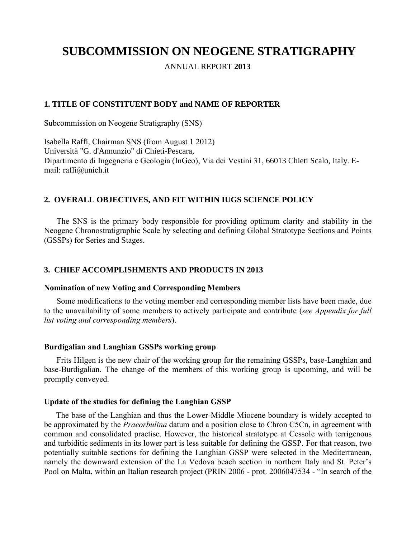# **SUBCOMMISSION ON NEOGENE STRATIGRAPHY**

ANNUAL REPORT **2013**

## **1. TITLE OF CONSTITUENT BODY and NAME OF REPORTER**

Subcommission on Neogene Stratigraphy (SNS)

Isabella Raffi, Chairman SNS (from August 1 2012) Università "G. d'Annunzio" di Chieti**-**Pescara, Dipartimento di Ingegneria e Geologia (InGeo), Via dei Vestini 31, 66013 Chieti Scalo, Italy. Email: raffi@unich.it

## **2. OVERALL OBJECTIVES, AND FIT WITHIN IUGS SCIENCE POLICY**

The SNS is the primary body responsible for providing optimum clarity and stability in the Neogene Chronostratigraphic Scale by selecting and defining Global Stratotype Sections and Points (GSSPs) for Series and Stages.

## **3. CHIEF ACCOMPLISHMENTS AND PRODUCTS IN 2013**

#### **Nomination of new Voting and Corresponding Members**

Some modifications to the voting member and corresponding member lists have been made, due to the unavailability of some members to actively participate and contribute (*see Appendix for full list voting and corresponding members*).

#### **Burdigalian and Langhian GSSPs working group**

Frits Hilgen is the new chair of the working group for the remaining GSSPs, base-Langhian and base-Burdigalian. The change of the members of this working group is upcoming, and will be promptly conveyed.

#### **Update of the studies for defining the Langhian GSSP**

The base of the Langhian and thus the Lower-Middle Miocene boundary is widely accepted to be approximated by the *Praeorbulina* datum and a position close to Chron C5Cn, in agreement with common and consolidated practise. However, the historical stratotype at Cessole with terrigenous and turbiditic sediments in its lower part is less suitable for defining the GSSP. For that reason, two potentially suitable sections for defining the Langhian GSSP were selected in the Mediterranean, namely the downward extension of the La Vedova beach section in northern Italy and St. Peter's Pool on Malta, within an Italian research project (PRIN 2006 - prot. 2006047534 - "In search of the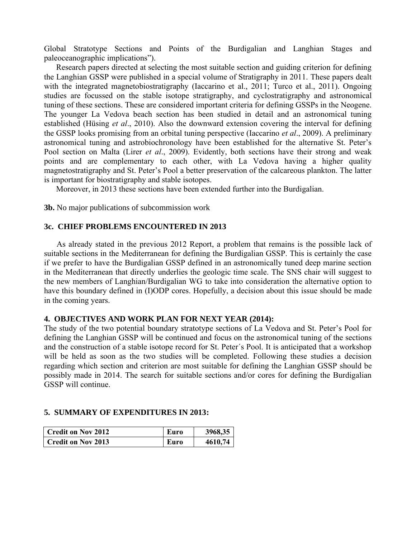Global Stratotype Sections and Points of the Burdigalian and Langhian Stages and paleoceanographic implications").

Research papers directed at selecting the most suitable section and guiding criterion for defining the Langhian GSSP were published in a special volume of Stratigraphy in 2011. These papers dealt with the integrated magnetobiostratigraphy (Iaccarino et al., 2011; Turco et al., 2011). Ongoing studies are focussed on the stable isotope stratigraphy, and cyclostratigraphy and astronomical tuning of these sections. These are considered important criteria for defining GSSPs in the Neogene. The younger La Vedova beach section has been studied in detail and an astronomical tuning established (Hüsing *et al*., 2010). Also the downward extension covering the interval for defining the GSSP looks promising from an orbital tuning perspective (Iaccarino *et al*., 2009). A preliminary astronomical tuning and astrobiochronology have been established for the alternative St. Peter's Pool section on Malta (Lirer *et al*., 2009). Evidently, both sections have their strong and weak points and are complementary to each other, with La Vedova having a higher quality magnetostratigraphy and St. Peter's Pool a better preservation of the calcareous plankton. The latter is important for biostratigraphy and stable isotopes.

Moreover, in 2013 these sections have been extended further into the Burdigalian.

**3b.** No major publications of subcommission work

#### **3c. CHIEF PROBLEMS ENCOUNTERED IN 2013**

As already stated in the previous 2012 Report, a problem that remains is the possible lack of suitable sections in the Mediterranean for defining the Burdigalian GSSP. This is certainly the case if we prefer to have the Burdigalian GSSP defined in an astronomically tuned deep marine section in the Mediterranean that directly underlies the geologic time scale. The SNS chair will suggest to the new members of Langhian/Burdigalian WG to take into consideration the alternative option to have this boundary defined in (I)ODP cores. Hopefully, a decision about this issue should be made in the coming years.

## **4. OBJECTIVES AND WORK PLAN FOR NEXT YEAR (2014):**

The study of the two potential boundary stratotype sections of La Vedova and St. Peter's Pool for defining the Langhian GSSP will be continued and focus on the astronomical tuning of the sections and the construction of a stable isotope record for St. Peter´s Pool. It is anticipated that a workshop will be held as soon as the two studies will be completed. Following these studies a decision regarding which section and criterion are most suitable for defining the Langhian GSSP should be possibly made in 2014. The search for suitable sections and/or cores for defining the Burdigalian GSSP will continue.

## **5. SUMMARY OF EXPENDITURES IN 2013:**

| Credit on Nov 2012 | Euro | 3968,35 |
|--------------------|------|---------|
| Credit on Nov 2013 | Euro | 4610,74 |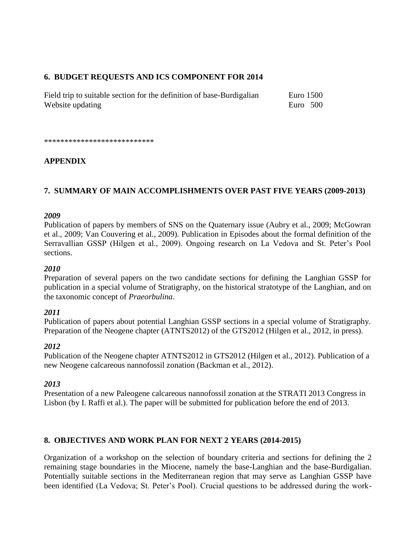# **6. BUDGET REQUESTS AND ICS COMPONENT FOR 2014**

Field trip to suitable section for the definition of base-Burdigalian Euro 1500 Website updating Euro 500

\*\*\*\*\*\*\*\*\*\*\*\*\*\*\*\*\*\*\*\*\*\*\*\*\*\*\*

# **APPENDIX**

# **7. SUMMARY OF MAIN ACCOMPLISHMENTS OVER PAST FIVE YEARS (2009-2013)**

#### *2009*

Publication of papers by members of SNS on the Quaternary issue (Aubry et al., 2009; McGowran et al., 2009; Van Couvering et al., 2009). Publication in Episodes about the formal definition of the Serravallian GSSP (Hilgen et al., 2009). Ongoing research on La Vedova and St. Peter's Pool sections.

#### *2010*

Preparation of several papers on the two candidate sections for defining the Langhian GSSP for publication in a special volume of Stratigraphy, on the historical stratotype of the Langhian, and on the taxonomic concept of *Praeorbulina*.

## *2011*

Publication of papers about potential Langhian GSSP sections in a special volume of Stratigraphy. Preparation of the Neogene chapter (ATNTS2012) of the GTS2012 (Hilgen et al., 2012, in press).

## *2012*

Publication of the Neogene chapter ATNTS2012 in GTS2012 (Hilgen et al., 2012). Publication of a new Neogene calcareous nannofossil zonation (Backman et al., 2012).

#### *2013*

Presentation of a new Paleogene calcareous nannofossil zonation at the STRATI 2013 Congress in Lisbon (by I. Raffi et al.). The paper will be submitted for publication before the end of 2013.

## **8. OBJECTIVES AND WORK PLAN FOR NEXT 2 YEARS (2014-2015)**

Organization of a workshop on the selection of boundary criteria and sections for defining the 2 remaining stage boundaries in the Miocene, namely the base-Langhian and the base-Burdigalian. Potentially suitable sections in the Mediterranean region that may serve as Langhian GSSP have been identified (La Vedova; St. Peter's Pool). Crucial questions to be addressed during the work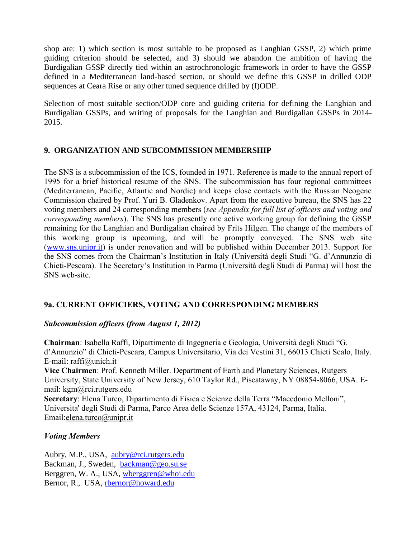shop are: 1) which section is most suitable to be proposed as Langhian GSSP, 2) which prime guiding criterion should be selected, and 3) should we abandon the ambition of having the Burdigalian GSSP directly tied within an astrochronologic framework in order to have the GSSP defined in a Mediterranean land-based section, or should we define this GSSP in drilled ODP sequences at Ceara Rise or any other tuned sequence drilled by (I)ODP.

Selection of most suitable section/ODP core and guiding criteria for defining the Langhian and Burdigalian GSSPs, and writing of proposals for the Langhian and Burdigalian GSSPs in 2014- 2015.

## **9. ORGANIZATION AND SUBCOMMISSION MEMBERSHIP**

The SNS is a subcommission of the ICS, founded in 1971. Reference is made to the annual report of 1995 for a brief historical resume of the SNS. The subcommission has four regional committees (Mediterranean, Pacific, Atlantic and Nordic) and keeps close contacts with the Russian Neogene Commission chaired by Prof. Yuri B. Gladenkov. Apart from the executive bureau, the SNS has 22 voting members and 24 corresponding members (*see Appendix for full list of officers and voting and corresponding members*). The SNS has presently one active working group for defining the GSSP remaining for the Langhian and Burdigalian chaired by Frits Hilgen. The change of the members of this working group is upcoming, and will be promptly conveyed. The SNS web site [\(www.sns.unipr.it\)](http://www.sns.unipr.it/) is under renovation and will be published within December 2013. Support for the SNS comes from the Chairman's Institution in Italy (Università degli Studi "G. d'Annunzio di Chieti-Pescara). The Secretary's Institution in Parma (Università degli Studi di Parma) will host the SNS web-site.

## **9a. CURRENT OFFICIERS, VOTING AND CORRESPONDING MEMBERS**

## *Subcommission officers (from August 1, 2012)*

**Chairman**: Isabella Raffi, [Dipartimento di Ingegneria e Geologia,](http://www.unich.it/unichieti/portletlocator/ContattoOrganizzazione_details?path=/BEA%20Repository/132035) Università degli Studi "G. d'Annunzio" di Chieti-Pescara, Campus Universitario, Via dei Vestini 31, 66013 Chieti Scalo, Italy. E-mail: [raffi@unich.it](mailto:raffi@unich.it)

**Vice Chairmen**: Prof. Kenneth Miller. [Department of Earth and Planetary Sciences,](http://geology.rutgers.edu/) Rutgers University, State University of New Jersey, 610 Taylor Rd., Piscataway, NY 08854-8066, USA. Email: kgm@rci.rutgers.edu

**Secretary**: Elena Turco, Dipartimento di Fisica e Scienze della Terra "Macedonio Melloni", Universita' degli Studi di Parma, Parco Area delle Scienze 157A, 43124, Parma, Italia. Email:elena.turco@unipr.it

## *Voting Members*

Aubry, M.P., USA, [aubry@rci.rutgers.edu](mailto:aubry@rci.rutgers.edu) Backman, J., Sweden, [backman@geo.su.se](mailto:backman@geo.su.se) Berggren, W. A., USA, [wberggren@whoi.edu](mailto:wberggren@whoi.edu) Bernor, R., USA, [rbernor@howard.edu](mailto:rbernor@howard.edu)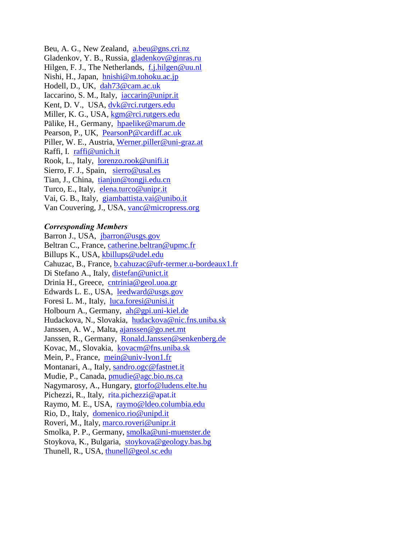Beu, A. G., New Zealand, [a.beu@gns.cri.nz](mailto:a.beu@gns.cri.nz) Gladenkov, Y. B., Russia, [gladenkov@ginras.ru](mailto:gladenkov@ginras.ru) Hilgen, F. J., The Netherlands, [f.j.hilgen@uu.nl](mailto:f.j.hilgen@uu.nl) Nishi, H., Japan, [hnishi@m.tohoku.ac.jp](mailto:hnishi@m.tohoku.ac.jp) Hodell, D., UK, [dah73@cam.ac.uk](mailto:dah73@cam.ac.uk) Iaccarino, S. M., Italy, [iaccarin@unipr.it](mailto:iaccarin@unipr.it) Kent, D. V., USA, [dvk@rci.rutgers.edu](mailto:dvk@rci.rutgers.edu) Miller, K. G., USA, [kgm@rci.rutgers.edu](mailto:kgm@rci.rutgers.edu) Pälike, H., Germany, [hpaelike@marum.de](mailto:hpaelike@marum.de) Pearson, P., UK, [PearsonP@cardiff.ac.uk](mailto:PearsonP@cardiff.ac.uk) Piller, W. E., Austria, [Werner.piller@uni-graz.at](mailto:Werner.piller@uni-graz.at) Raffi, I. [raffi@unich.it](mailto:raffi@unich.it) Rook, L., Italy, [lorenzo.rook@unifi.it](mailto:lorenzo.rook@unifi.it) Sierro, F. J., Spain, [sierro@usal.es](mailto:sierro@usal.es) Tian, J., China, [tianjun@tongji.edu.cn](mailto:tianjun@tongji.edu.cn) Turco, E., Italy, [elena.turco@unipr.it](mailto:elena.turco@unipr.it) Vai, G. B., Italy, [giambattista.vai@unibo.it](mailto:giambattista.vai@unibo.it) Van Couvering, J., USA, [vanc@micropress.org](mailto:vanc@micropress.org)

#### *Corresponding Members*

Barron J., USA, [jbarron@usgs.gov](mailto:jbarron@usgs.gov) Beltran C., France, [catherine.beltran@upmc.fr](mailto:catherine.beltran@upmc.fr) Billups K., USA, [kbillups@udel.edu](mailto:kbillups@udel.edu) Cahuzac, B., France, [b.cahuzac@ufr-termer.u-bordeaux1.fr](mailto:b.cahuzac@ufr-termer.u-bordeaux1.fr) Di Stefano A., Italy, [distefan@unict.it](mailto:distefan@unict.it) Drinia H., Greece, [cntrinia@geol.uoa.gr](mailto:cntrinia@geol.uoa.gr) Edwards L. E., USA, [leedward@usgs.gov](mailto:leedward@usgs.gov) Foresi L. M., Italy, [luca.foresi@unisi.it](mailto:luca.foresi@unisi.it) Holbourn A., Germany, [ah@gpi.uni-kiel.de](mailto:ah@gpi.uni-kiel.de)  Hudackova, N., Slovakia, [hudackova@nic.fns.uniba.sk](mailto:hudackova@nic.fns.uniba.sk) Janssen, A. W., Malta, [ajanssen@go.net.mt](mailto:ajanssen@go.net.mt) Janssen, R., Germany, [Ronald.Janssen@senkenberg.de](mailto:Ronald.Janssen@senkenberg.de) Kovac, M., Slovakia, [kovacm@fns.uniba.sk](mailto:kovacm@fns.uniba.sk) Mein, P., France, [mein@univ-lyon1.fr](mailto:mein@univ-lyon1.fr) Montanari, A., Italy, [sandro.ogc@fastnet.it](mailto:sandro.ogc@fastnet.it) Mudie, P., Canada, [pmudie@agc.bio.ns.ca](mailto:pmudie@agc.bio.ns.ca) Nagymarosy, A., Hungary, [gtorfo@ludens.elte.hu](mailto:gtorfo@ludens.elte.hu) Pichezzi, R., Italy, rita.pichezzi@apat.it Raymo, M. E., USA, [raymo@ldeo.columbia.edu](mailto:raymo@ldeo.columbia.edu) Rio, D., Italy, [domenico.rio@unipd.it](mailto:domenico.rio@unipd.it) Roveri, M., Italy, [marco.roveri@unipr.it](mailto:marco.roveri@unipr.it) Smolka, P. P., Germany, [smolka@uni-muenster.de](mailto:smolka@uni-muenster.de) Stoykova, K., Bulgaria, [stoykova@geology.bas.bg](mailto:stoykova@geology.bas.bg) Thunell, R., USA, [thunell@geol.sc.edu](mailto:thunell@geol.sc.edu)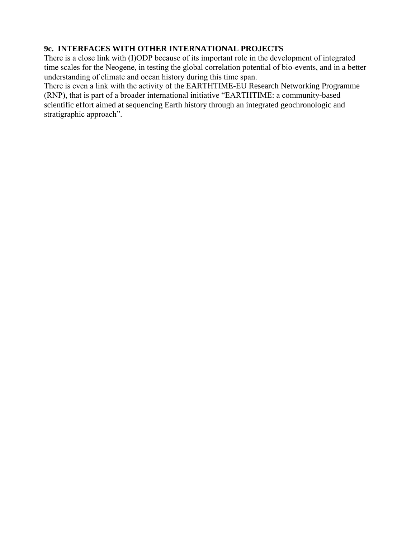# **9c. INTERFACES WITH OTHER INTERNATIONAL PROJECTS**

There is a close link with (I)ODP because of its important role in the development of integrated time scales for the Neogene, in testing the global correlation potential of bio-events, and in a better understanding of climate and ocean history during this time span.

There is even a link with the activity of the EARTHTIME-EU Research Networking Programme (RNP), that is part of a broader international initiative "EARTHTIME: a community-based scientific effort aimed at sequencing Earth history through an integrated geochronologic and stratigraphic approach".